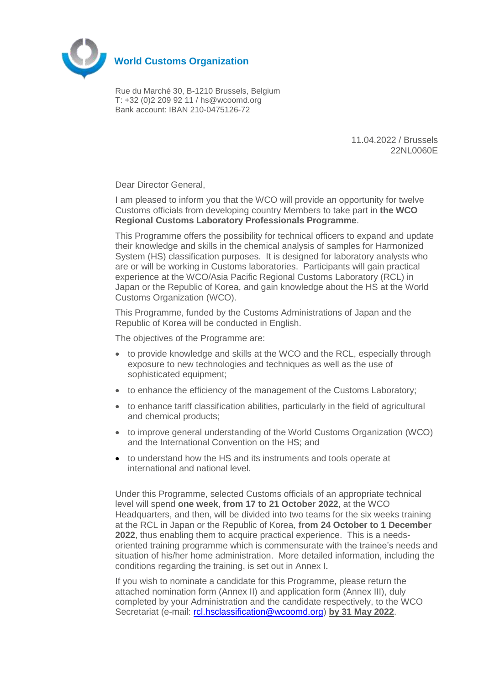

Rue du Marché 30, B-1210 Brussels, Belgium T: +32 (0)2 209 92 11 / hs@wcoomd.org Bank account: IBAN 210-0475126-72

> 11.04.2022 / Brussels 22NL0060E

Dear Director General,

I am pleased to inform you that the WCO will provide an opportunity for twelve Customs officials from developing country Members to take part in **the WCO Regional Customs Laboratory Professionals Programme**.

This Programme offers the possibility for technical officers to expand and update their knowledge and skills in the chemical analysis of samples for Harmonized System (HS) classification purposes. It is designed for laboratory analysts who are or will be working in Customs laboratories. Participants will gain practical experience at the WCO/Asia Pacific Regional Customs Laboratory (RCL) in Japan or the Republic of Korea, and gain knowledge about the HS at the World Customs Organization (WCO).

This Programme, funded by the Customs Administrations of Japan and the Republic of Korea will be conducted in English.

The objectives of the Programme are:

- to provide knowledge and skills at the WCO and the RCL, especially through exposure to new technologies and techniques as well as the use of sophisticated equipment;
- to enhance the efficiency of the management of the Customs Laboratory;
- to enhance tariff classification abilities, particularly in the field of agricultural and chemical products;
- to improve general understanding of the World Customs Organization (WCO) and the International Convention on the HS; and
- to understand how the HS and its instruments and tools operate at international and national level.

Under this Programme, selected Customs officials of an appropriate technical level will spend **one week**, **from 17 to 21 October 2022**, at the WCO Headquarters, and then, will be divided into two teams for the six weeks training at the RCL in Japan or the Republic of Korea, **from 24 October to 1 December 2022**, thus enabling them to acquire practical experience. This is a needsoriented training programme which is commensurate with the trainee's needs and situation of his/her home administration. More detailed information, including the conditions regarding the training, is set out in Annex I.

If you wish to nominate a candidate for this Programme, please return the attached nomination form (Annex II) and application form (Annex III), duly completed by your Administration and the candidate respectively, to the WCO Secretariat (e-mail: [rcl.hsclassification@wcoomd.org\)](mailto:rcl.hsclassification@wcoomd.org) **by 31 May 2022**.